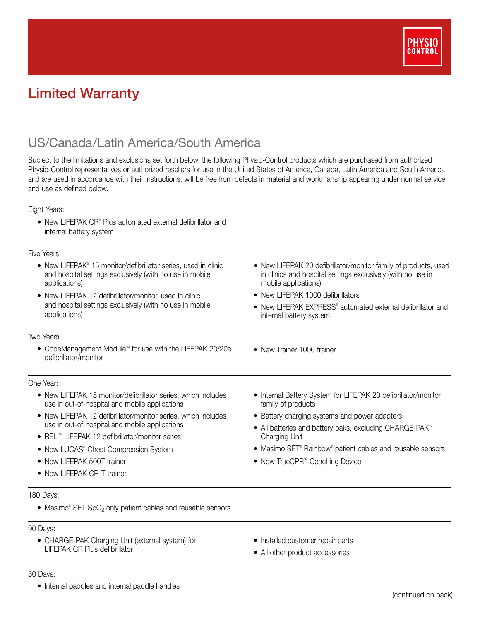

# Limited Warranty

## US/Canada/Latin America/South America

Subject to the limitations and exclusions set forth below, the following Physio-Control products which are purchased from authorized Physio-Control representatives or authorized resellers for use in the United States of America, Canada, Latin America and South America and are used in accordance with their instructions, will be free from defects in material and workmanship appearing under normal service and use as defined below.

#### Eight Years:

• New LIFEPAK CR® Plus automated external defibrillator and internal battery system

#### Five Years:

| טווסט ווער ווער                                                                                                                                                                                                                                                                    |                                                                                                                                                                                              |
|------------------------------------------------------------------------------------------------------------------------------------------------------------------------------------------------------------------------------------------------------------------------------------|----------------------------------------------------------------------------------------------------------------------------------------------------------------------------------------------|
| • New LIFEPAK® 15 monitor/defibrillator series, used in clinic<br>and hospital settings exclusively (with no use in mobile<br>applications)<br>• New LIFEPAK 12 defibrillator/monitor, used in clinic<br>and hospital settings exclusively (with no use in mobile<br>applications) | • New LIFEPAK 20 defibrillator/monitor family of products, used<br>in clinics and hospital settings exclusively (with no use in<br>mobile applications)<br>• New LIFEPAK 1000 defibrillators |
|                                                                                                                                                                                                                                                                                    |                                                                                                                                                                                              |
|                                                                                                                                                                                                                                                                                    | Two Years:                                                                                                                                                                                   |
| • CodeManagement Module <sup>**</sup> for use with the LIFEPAK 20/20e<br>defibrillator/monitor                                                                                                                                                                                     | • New Trainer 1000 trainer                                                                                                                                                                   |
| One Year:                                                                                                                                                                                                                                                                          |                                                                                                                                                                                              |
| • New LIFEPAK 15 monitor/defibrillator series, which includes<br>use in out-of-hospital and mobile applications                                                                                                                                                                    | • Internal Battery System for LIFEPAK 20 defibrillator/monitor<br>family of products                                                                                                         |
| • New LIFEPAK 12 defibrillator/monitor series, which includes<br>use in out-of-hospital and mobile applications                                                                                                                                                                    | • Battery charging systems and power adapters                                                                                                                                                |
|                                                                                                                                                                                                                                                                                    | • All batteries and battery paks, excluding CHARGE-PAK <sup>**</sup><br>Charging Unit                                                                                                        |
| • RELI <sup>®</sup> LIFEPAK 12 defibrillator/monitor series                                                                                                                                                                                                                        |                                                                                                                                                                                              |
| • New LUCAS® Chest Compression System                                                                                                                                                                                                                                              | • Masimo SET® Rainbow® patient cables and reusable sensors                                                                                                                                   |
| • New LIFEPAK 500T trainer                                                                                                                                                                                                                                                         | • New TrueCPR <sup>™</sup> Coaching Device                                                                                                                                                   |
| • New LIFEPAK CR-T trainer                                                                                                                                                                                                                                                         |                                                                                                                                                                                              |
| 180 Days:                                                                                                                                                                                                                                                                          |                                                                                                                                                                                              |

• Masimo® SET SpO<sub>2</sub> only patient cables and reusable sensors

#### 90 Days:

- CHARGE-PAK Charging Unit (external system) for LIFEPAK CR Plus defibrillator
- Installed customer repair parts
- All other product accessories

### 30 Days:

• Internal paddles and internal paddle handles